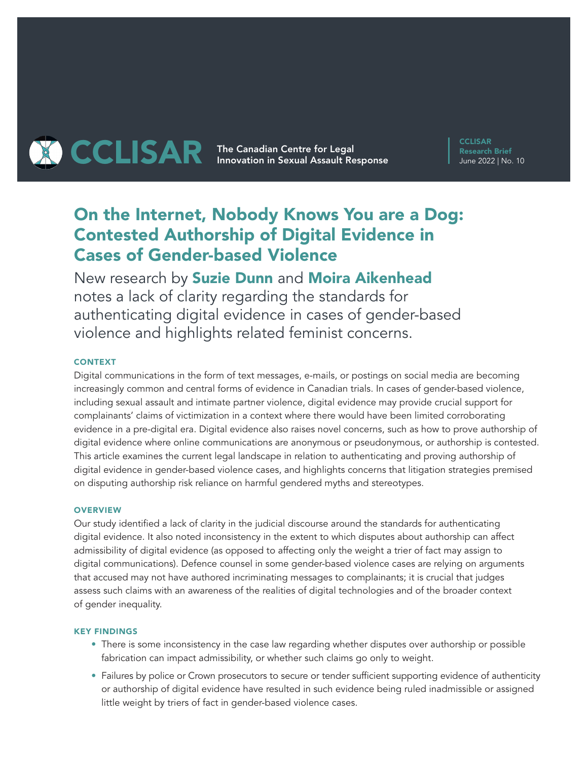# **THE CAR The Canadian Centre for Legal CCLISAR** Innovation in Sexual Assault Response

**CCLISAR** Research Brief June 2022 | No. 10

# On the Internet, Nobody Knows You are a Dog: Contested Authorship of Digital Evidence in Cases of Gender-based Violence

New research by Suzie Dunn and Moira Aikenhead notes a lack of clarity regarding the standards for authenticating digital evidence in cases of gender-based violence and highlights related feminist concerns.

# **CONTEXT**

Digital communications in the form of text messages, e-mails, or postings on social media are becoming increasingly common and central forms of evidence in Canadian trials. In cases of gender-based violence, including sexual assault and intimate partner violence, digital evidence may provide crucial support for complainants' claims of victimization in a context where there would have been limited corroborating evidence in a pre-digital era. Digital evidence also raises novel concerns, such as how to prove authorship of digital evidence where online communications are anonymous or pseudonymous, or authorship is contested. This article examines the current legal landscape in relation to authenticating and proving authorship of digital evidence in gender-based violence cases, and highlights concerns that litigation strategies premised on disputing authorship risk reliance on harmful gendered myths and stereotypes.

### **OVERVIEW**

Our study identified a lack of clarity in the judicial discourse around the standards for authenticating digital evidence. It also noted inconsistency in the extent to which disputes about authorship can affect admissibility of digital evidence (as opposed to affecting only the weight a trier of fact may assign to digital communications). Defence counsel in some gender-based violence cases are relying on arguments that accused may not have authored incriminating messages to complainants; it is crucial that judges assess such claims with an awareness of the realities of digital technologies and of the broader context of gender inequality.

#### KEY FINDINGS

- There is some inconsistency in the case law regarding whether disputes over authorship or possible fabrication can impact admissibility, or whether such claims go only to weight.
- Failures by police or Crown prosecutors to secure or tender sufficient supporting evidence of authenticity or authorship of digital evidence have resulted in such evidence being ruled inadmissible or assigned little weight by triers of fact in gender-based violence cases.